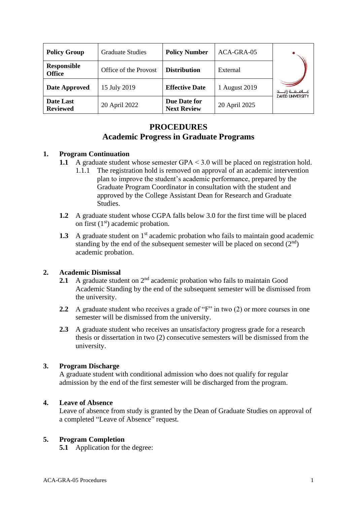| <b>Policy Group</b>                 | <b>Graduate Studies</b> | <b>Policy Number</b>               | ACA-GRA-05    |                                                      |
|-------------------------------------|-------------------------|------------------------------------|---------------|------------------------------------------------------|
| <b>Responsible</b><br><b>Office</b> | Office of the Provost   | <b>Distribution</b>                | External      |                                                      |
| Date Approved                       | 15 July 2019            | <b>Effective Date</b>              | 1 August 2019 | مــــامــــــه زايــــــد<br><b>ZAYED UNIVERSITY</b> |
| Date Last<br><b>Reviewed</b>        | 20 April 2022           | Due Date for<br><b>Next Review</b> | 20 April 2025 |                                                      |

# **PROCEDURES Academic Progress in Graduate Programs**

## **1. Program Continuation**

- **1.1** A graduate student whose semester GPA < 3.0 will be placed on registration hold.
	- 1.1.1 The registration hold is removed on approval of an academic intervention plan to improve the student's academic performance, prepared by the Graduate Program Coordinator in consultation with the student and approved by the College Assistant Dean for Research and Graduate Studies.
- **1.2** A graduate student whose CGPA falls below 3.0 for the first time will be placed on first  $(1<sup>st</sup>)$  academic probation.
- **1.3** A graduate student on 1<sup>st</sup> academic probation who fails to maintain good academic standing by the end of the subsequent semester will be placed on second  $(2<sup>nd</sup>)$ academic probation.

## **2. Academic Dismissal**

- **2.1** A graduate student on 2<sup>nd</sup> academic probation who fails to maintain Good Academic Standing by the end of the subsequent semester will be dismissed from the university.
- **2.2** A graduate student who receives a grade of "F" in two (2) or more courses in one semester will be dismissed from the university.
- **2.3** A graduate student who receives an unsatisfactory progress grade for a research thesis or dissertation in two (2) consecutive semesters will be dismissed from the university.

#### **3. Program Discharge**

A graduate student with conditional admission who does not qualify for regular admission by the end of the first semester will be discharged from the program.

#### **4. Leave of Absence**

Leave of absence from study is granted by the Dean of Graduate Studies on approval of a completed "Leave of Absence" request.

#### **5. Program Completion**

**5.1** Application for the degree: